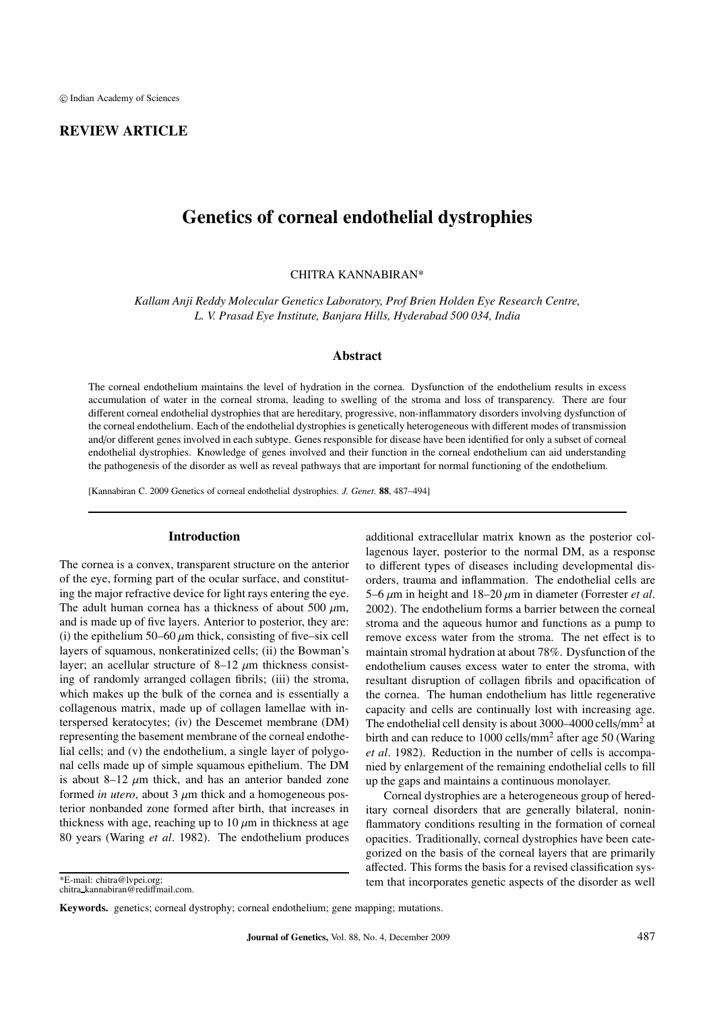### REVIEW ARTICLE

# Genetics of corneal endothelial dystrophies

CHITRA KANNABIRAN\*

*Kallam Anji Reddy Molecular Genetics Laboratory, Prof Brien Holden Eye Research Centre, L. V. Prasad Eye Institute, Banjara Hills, Hyderabad 500 034, India*

### Abstract

The corneal endothelium maintains the level of hydration in the cornea. Dysfunction of the endothelium results in excess accumulation of water in the corneal stroma, leading to swelling of the stroma and loss of transparency. There are four different corneal endothelial dystrophies that are hereditary, progressive, non-inflammatory disorders involving dysfunction of the corneal endothelium. Each of the endothelial dystrophies is genetically heterogeneous with different modes of transmission and/or different genes involved in each subtype. Genes responsible for disease have been identified for only a subset of corneal endothelial dystrophies. Knowledge of genes involved and their function in the corneal endothelium can aid understanding the pathogenesis of the disorder as well as reveal pathways that are important for normal functioning of the endothelium.

[Kannabiran C. 2009 Genetics of corneal endothelial dystrophies. *J. Genet*. 88, 487–494]

### Introduction

The cornea is a convex, transparent structure on the anterior of the eye, forming part of the ocular surface, and constituting the major refractive device for light rays entering the eye. The adult human cornea has a thickness of about 500  $\mu$ m, and is made up of five layers. Anterior to posterior, they are: (i) the epithelium 50–60  $\mu$ m thick, consisting of five–six cell layers of squamous, nonkeratinized cells; (ii) the Bowman's layer; an acellular structure of  $8-12 \mu m$  thickness consisting of randomly arranged collagen fibrils; (iii) the stroma, which makes up the bulk of the cornea and is essentially a collagenous matrix, made up of collagen lamellae with interspersed keratocytes; (iv) the Descemet membrane (DM) representing the basement membrane of the corneal endothelial cells; and (v) the endothelium, a single layer of polygonal cells made up of simple squamous epithelium. The DM is about 8–12  $\mu$ m thick, and has an anterior banded zone formed *in utero*, about  $3 \mu m$  thick and a homogeneous posterior nonbanded zone formed after birth, that increases in thickness with age, reaching up to  $10 \mu m$  in thickness at age 80 years (Waring *et al*. 1982). The endothelium produces

\*E-mail: chitra@lvpei.org;

chitra kannabiran@rediffmail.com.

additional extracellular matrix known as the posterior collagenous layer, posterior to the normal DM, as a response to different types of diseases including developmental disorders, trauma and inflammation. The endothelial cells are 5–6  $\mu$ m in height and 18–20  $\mu$ m in diameter (Forrester *et al.*) 2002). The endothelium forms a barrier between the corneal stroma and the aqueous humor and functions as a pump to remove excess water from the stroma. The net effect is to maintain stromal hydration at about 78%. Dysfunction of the endothelium causes excess water to enter the stroma, with resultant disruption of collagen fibrils and opacification of the cornea. The human endothelium has little regenerative capacity and cells are continually lost with increasing age. The endothelial cell density is about  $3000-4000$  cells/mm<sup>2</sup> at birth and can reduce to 1000 cells/ $mm<sup>2</sup>$  after age 50 (Waring *et al*. 1982). Reduction in the number of cells is accompanied by enlargement of the remaining endothelial cells to fill up the gaps and maintains a continuous monolayer.

Corneal dystrophies are a heterogeneous group of hereditary corneal disorders that are generally bilateral, noninflammatory conditions resulting in the formation of corneal opacities. Traditionally, corneal dystrophies have been categorized on the basis of the corneal layers that are primarily affected. This forms the basis for a revised classification system that incorporates genetic aspects of the disorder as well

Keywords. genetics; corneal dystrophy; corneal endothelium; gene mapping; mutations.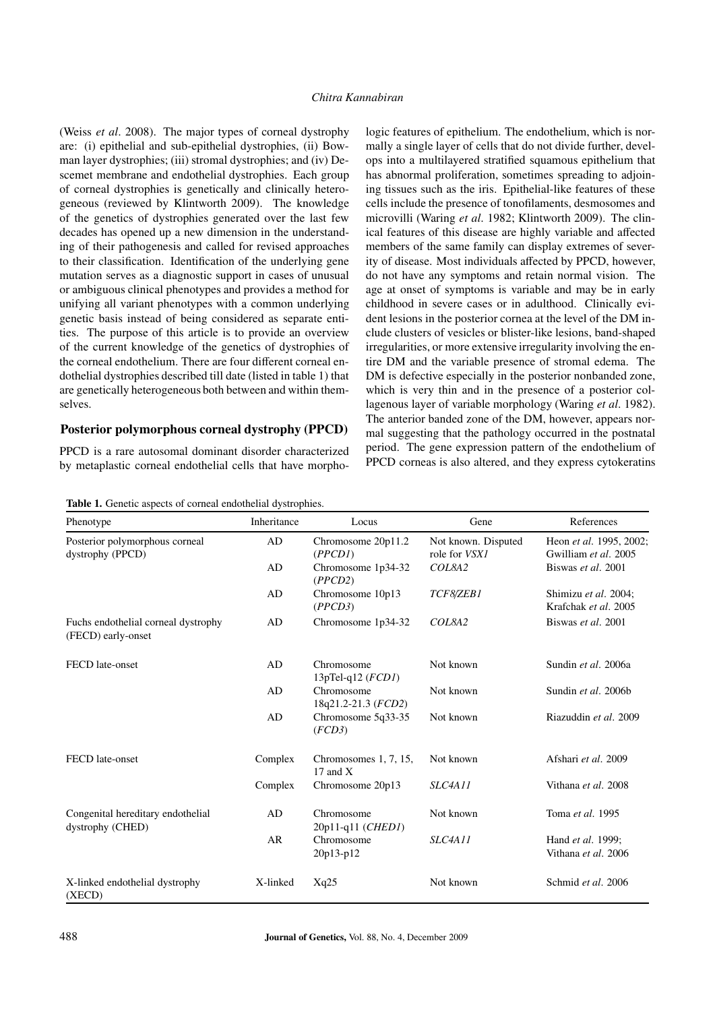### *Chitra Kannabiran*

(Weiss *et al*. 2008). The major types of corneal dystrophy are: (i) epithelial and sub-epithelial dystrophies, (ii) Bowman layer dystrophies; (iii) stromal dystrophies; and (iv) Descemet membrane and endothelial dystrophies. Each group of corneal dystrophies is genetically and clinically heterogeneous (reviewed by Klintworth 2009). The knowledge of the genetics of dystrophies generated over the last few decades has opened up a new dimension in the understanding of their pathogenesis and called for revised approaches to their classification. Identification of the underlying gene mutation serves as a diagnostic support in cases of unusual or ambiguous clinical phenotypes and provides a method for unifying all variant phenotypes with a common underlying genetic basis instead of being considered as separate entities. The purpose of this article is to provide an overview of the current knowledge of the genetics of dystrophies of the corneal endothelium. There are four different corneal endothelial dystrophies described till date (listed in table 1) that are genetically heterogeneous both between and within themselves.

### Posterior polymorphous corneal dystrophy (PPCD)

PPCD is a rare autosomal dominant disorder characterized by metaplastic corneal endothelial cells that have morphologic features of epithelium. The endothelium, which is normally a single layer of cells that do not divide further, develops into a multilayered stratified squamous epithelium that has abnormal proliferation, sometimes spreading to adjoining tissues such as the iris. Epithelial-like features of these cells include the presence of tonofilaments, desmosomes and microvilli (Waring *et al*. 1982; Klintworth 2009). The clinical features of this disease are highly variable and affected members of the same family can display extremes of severity of disease. Most individuals affected by PPCD, however, do not have any symptoms and retain normal vision. The age at onset of symptoms is variable and may be in early childhood in severe cases or in adulthood. Clinically evident lesions in the posterior cornea at the level of the DM include clusters of vesicles or blister-like lesions, band-shaped irregularities, or more extensive irregularity involving the entire DM and the variable presence of stromal edema. The DM is defective especially in the posterior nonbanded zone, which is very thin and in the presence of a posterior collagenous layer of variable morphology (Waring *et al*. 1982). The anterior banded zone of the DM, however, appears normal suggesting that the pathology occurred in the postnatal period. The gene expression pattern of the endothelium of PPCD corneas is also altered, and they express cytokeratins

| Table 1. Genetic aspects of corneal endothelial dystrophies. |             |                                     |                                             |                                                 |
|--------------------------------------------------------------|-------------|-------------------------------------|---------------------------------------------|-------------------------------------------------|
| Phenotype                                                    | Inheritance | Locus                               | Gene                                        | References                                      |
| Posterior polymorphous corneal<br>dystrophy (PPCD)           | AD          | Chromosome 20p11.2<br>(PPCDI)       | Not known. Disputed<br>role for <i>VSX1</i> | Heon et al. 1995, 2002;<br>Gwilliam et al. 2005 |
|                                                              | AD          | Chromosome 1p34-32<br>(PPCD2)       | COL8A2                                      | Biswas et al. 2001                              |
|                                                              | AD          | Chromosome 10p13<br>(PPCD3)         | TCF8/ZEB1                                   | Shimizu et al. 2004;<br>Krafchak et al. 2005    |
| Fuchs endothelial corneal dystrophy<br>(FECD) early-onset    | AD          | Chromosome 1p34-32                  | COL842                                      | Biswas et al. 2001                              |
| FECD late-onset                                              | AD          | Chromosome<br>13pTel-q12 $(FCDI)$   | Not known                                   | Sundin et al. 2006a                             |
|                                                              | AD          | Chromosome<br>18q21.2-21.3 (FCD2)   | Not known                                   | Sundin et al. 2006b                             |
|                                                              | AD          | Chromosome 5q33-35<br>(FCD3)        | Not known                                   | Riazuddin et al. 2009                           |
| FECD late-onset                                              | Complex     | Chromosomes 1, 7, 15,<br>17 and $X$ | Not known                                   | Afshari et al. 2009                             |
|                                                              | Complex     | Chromosome 20p13                    | SLC4A11                                     | Vithana et al. 2008                             |
| Congenital hereditary endothelial<br>dystrophy (CHED)        | AD          | Chromosome<br>20p11-q11 (CHED1)     | Not known                                   | Toma et al. 1995                                |
|                                                              | <b>AR</b>   | Chromosome<br>20p13-p12             | SLC4A11                                     | Hand et al. 1999;<br>Vithana et al. 2006        |
| X-linked endothelial dystrophy<br>(XECD)                     | X-linked    | Xq25                                | Not known                                   | Schmid et al. 2006                              |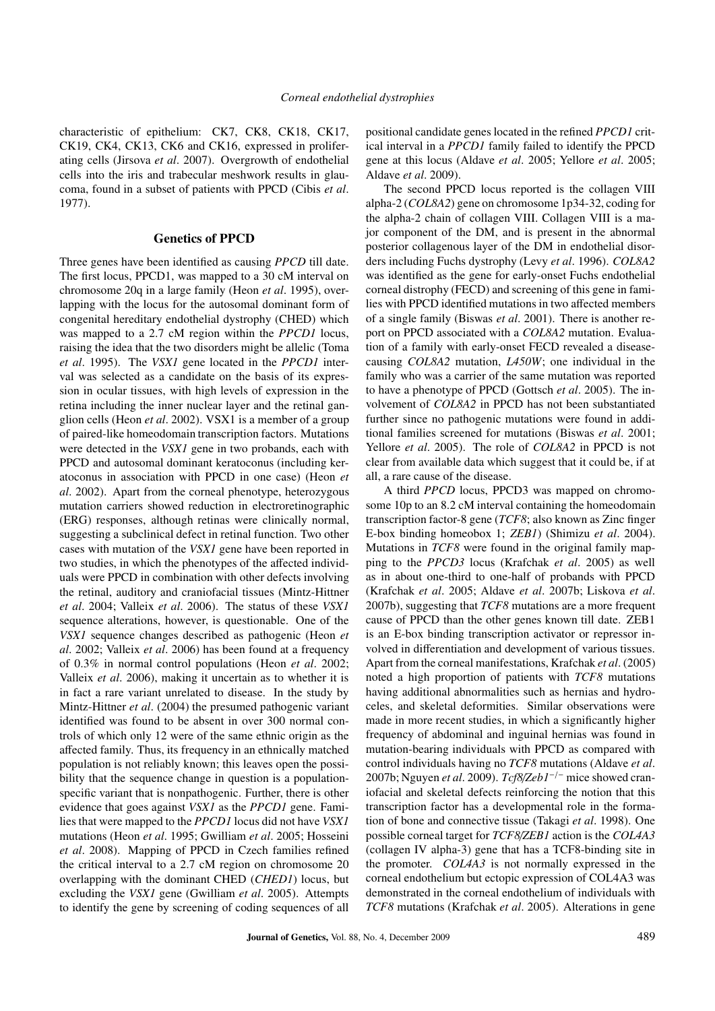characteristic of epithelium: CK7, CK8, CK18, CK17, CK19, CK4, CK13, CK6 and CK16, expressed in proliferating cells (Jirsova *et al*. 2007). Overgrowth of endothelial cells into the iris and trabecular meshwork results in glaucoma, found in a subset of patients with PPCD (Cibis *et al*. 1977).

#### Genetics of PPCD

Three genes have been identified as causing *PPCD* till date. The first locus, PPCD1, was mapped to a 30 cM interval on chromosome 20q in a large family (Heon *et al*. 1995), overlapping with the locus for the autosomal dominant form of congenital hereditary endothelial dystrophy (CHED) which was mapped to a 2.7 cM region within the *PPCD1* locus, raising the idea that the two disorders might be allelic (Toma *et al*. 1995). The *VSX1* gene located in the *PPCD1* interval was selected as a candidate on the basis of its expression in ocular tissues, with high levels of expression in the retina including the inner nuclear layer and the retinal ganglion cells (Heon *et al*. 2002). VSX1 is a member of a group of paired-like homeodomain transcription factors. Mutations were detected in the *VSX1* gene in two probands, each with PPCD and autosomal dominant keratoconus (including keratoconus in association with PPCD in one case) (Heon *et al*. 2002). Apart from the corneal phenotype, heterozygous mutation carriers showed reduction in electroretinographic (ERG) responses, although retinas were clinically normal, suggesting a subclinical defect in retinal function. Two other cases with mutation of the *VSX1* gene have been reported in two studies, in which the phenotypes of the affected individuals were PPCD in combination with other defects involving the retinal, auditory and craniofacial tissues (Mintz-Hittner *et al*. 2004; Valleix *et al*. 2006). The status of these *VSX1* sequence alterations, however, is questionable. One of the *VSX1* sequence changes described as pathogenic (Heon *et al*. 2002; Valleix *et al*. 2006) has been found at a frequency of 0.3% in normal control populations (Heon *et al*. 2002; Valleix *et al*. 2006), making it uncertain as to whether it is in fact a rare variant unrelated to disease. In the study by Mintz-Hittner *et al*. (2004) the presumed pathogenic variant identified was found to be absent in over 300 normal controls of which only 12 were of the same ethnic origin as the affected family. Thus, its frequency in an ethnically matched population is not reliably known; this leaves open the possibility that the sequence change in question is a populationspecific variant that is nonpathogenic. Further, there is other evidence that goes against *VSX1* as the *PPCD1* gene. Families that were mapped to the *PPCD1* locus did not have *VSX1* mutations (Heon *et al*. 1995; Gwilliam *et al*. 2005; Hosseini *et al*. 2008). Mapping of PPCD in Czech families refined the critical interval to a 2.7 cM region on chromosome 20 overlapping with the dominant CHED (*CHED1*) locus, but excluding the *VSX1* gene (Gwilliam *et al*. 2005). Attempts to identify the gene by screening of coding sequences of all positional candidate genes located in the refined *PPCD1* critical interval in a *PPCD1* family failed to identify the PPCD gene at this locus (Aldave *et al*. 2005; Yellore *et al*. 2005; Aldave *et al*. 2009).

The second PPCD locus reported is the collagen VIII alpha-2 (*COL8A2*) gene on chromosome 1p34-32, coding for the alpha-2 chain of collagen VIII. Collagen VIII is a major component of the DM, and is present in the abnormal posterior collagenous layer of the DM in endothelial disorders including Fuchs dystrophy (Levy *et al*. 1996). *COL8A2* was identified as the gene for early-onset Fuchs endothelial corneal distrophy (FECD) and screening of this gene in families with PPCD identified mutations in two affected members of a single family (Biswas *et al*. 2001). There is another report on PPCD associated with a *COL8A2* mutation. Evaluation of a family with early-onset FECD revealed a diseasecausing *COL8A2* mutation, *L450W*; one individual in the family who was a carrier of the same mutation was reported to have a phenotype of PPCD (Gottsch *et al*. 2005). The involvement of *COL8A2* in PPCD has not been substantiated further since no pathogenic mutations were found in additional families screened for mutations (Biswas *et al*. 2001; Yellore *et al*. 2005). The role of *COL8A2* in PPCD is not clear from available data which suggest that it could be, if at all, a rare cause of the disease.

A third *PPCD* locus, PPCD3 was mapped on chromosome 10p to an 8.2 cM interval containing the homeodomain transcription factor-8 gene (*TCF8*; also known as Zinc finger E-box binding homeobox 1; *ZEB1*) (Shimizu *et al*. 2004). Mutations in *TCF8* were found in the original family mapping to the *PPCD3* locus (Krafchak *et al*. 2005) as well as in about one-third to one-half of probands with PPCD (Krafchak *et al*. 2005; Aldave *et al*. 2007b; Liskova *et al*. 2007b), suggesting that *TCF8* mutations are a more frequent cause of PPCD than the other genes known till date. ZEB1 is an E-box binding transcription activator or repressor involved in differentiation and development of various tissues. Apart from the corneal manifestations, Krafchak *et al*. (2005) noted a high proportion of patients with *TCF8* mutations having additional abnormalities such as hernias and hydroceles, and skeletal deformities. Similar observations were made in more recent studies, in which a significantly higher frequency of abdominal and inguinal hernias was found in mutation-bearing individuals with PPCD as compared with control individuals having no *TCF8* mutations (Aldave *et al*. 2007b; Nguyen *et al*. 2009). *Tcf8*/*Zeb1*−/<sup>−</sup> mice showed craniofacial and skeletal defects reinforcing the notion that this transcription factor has a developmental role in the formation of bone and connective tissue (Takagi *et al*. 1998). One possible corneal target for *TCF8*/*ZEB1* action is the *COL4A3* (collagen IV alpha-3) gene that has a TCF8-binding site in the promoter. *COL4A3* is not normally expressed in the corneal endothelium but ectopic expression of COL4A3 was demonstrated in the corneal endothelium of individuals with *TCF8* mutations (Krafchak *et al*. 2005). Alterations in gene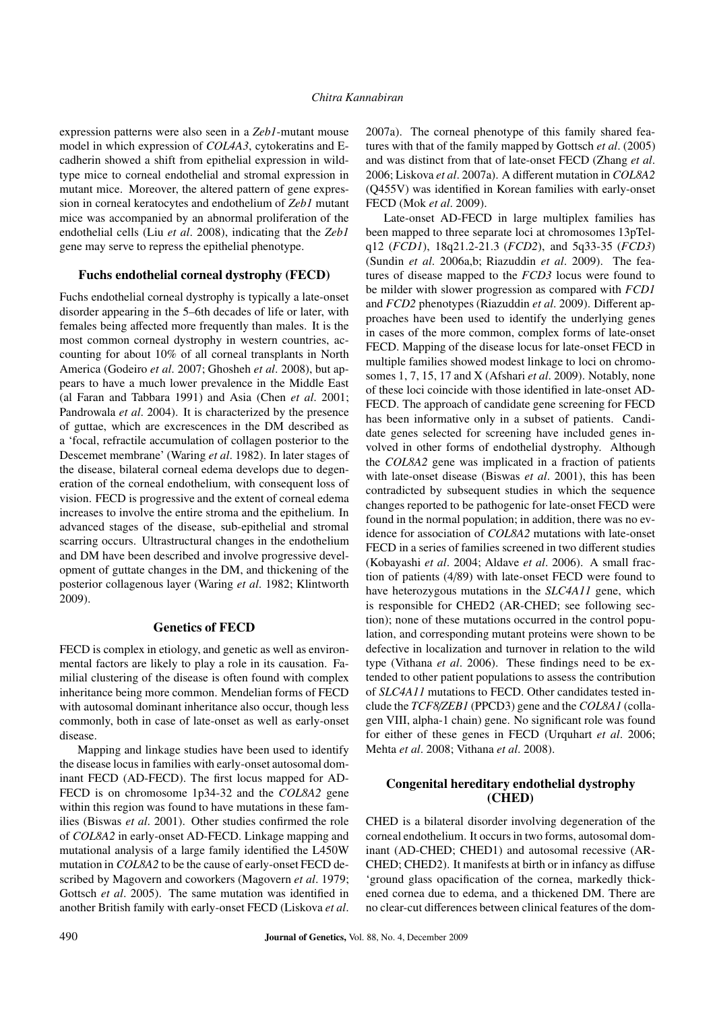expression patterns were also seen in a *Zeb1*-mutant mouse model in which expression of *COL4A3*, cytokeratins and Ecadherin showed a shift from epithelial expression in wildtype mice to corneal endothelial and stromal expression in mutant mice. Moreover, the altered pattern of gene expression in corneal keratocytes and endothelium of *Zeb1* mutant mice was accompanied by an abnormal proliferation of the endothelial cells (Liu *et al*. 2008), indicating that the *Zeb1* gene may serve to repress the epithelial phenotype.

### Fuchs endothelial corneal dystrophy (FECD)

Fuchs endothelial corneal dystrophy is typically a late-onset disorder appearing in the 5–6th decades of life or later, with females being affected more frequently than males. It is the most common corneal dystrophy in western countries, accounting for about 10% of all corneal transplants in North America (Godeiro *et al*. 2007; Ghosheh *et al*. 2008), but appears to have a much lower prevalence in the Middle East (al Faran and Tabbara 1991) and Asia (Chen *et al*. 2001; Pandrowala *et al*. 2004). It is characterized by the presence of guttae, which are excrescences in the DM described as a 'focal, refractile accumulation of collagen posterior to the Descemet membrane' (Waring *et al*. 1982). In later stages of the disease, bilateral corneal edema develops due to degeneration of the corneal endothelium, with consequent loss of vision. FECD is progressive and the extent of corneal edema increases to involve the entire stroma and the epithelium. In advanced stages of the disease, sub-epithelial and stromal scarring occurs. Ultrastructural changes in the endothelium and DM have been described and involve progressive development of guttate changes in the DM, and thickening of the posterior collagenous layer (Waring *et al*. 1982; Klintworth 2009).

# Genetics of FECD

FECD is complex in etiology, and genetic as well as environmental factors are likely to play a role in its causation. Familial clustering of the disease is often found with complex inheritance being more common. Mendelian forms of FECD with autosomal dominant inheritance also occur, though less commonly, both in case of late-onset as well as early-onset disease.

Mapping and linkage studies have been used to identify the disease locus in families with early-onset autosomal dominant FECD (AD-FECD). The first locus mapped for AD-FECD is on chromosome 1p34-32 and the *COL8A2* gene within this region was found to have mutations in these families (Biswas *et al*. 2001). Other studies confirmed the role of *COL8A2* in early-onset AD-FECD. Linkage mapping and mutational analysis of a large family identified the L450W mutation in *COL8A2* to be the cause of early-onset FECD described by Magovern and coworkers (Magovern *et al*. 1979; Gottsch *et al*. 2005). The same mutation was identified in another British family with early-onset FECD (Liskova *et al*.

2007a). The corneal phenotype of this family shared features with that of the family mapped by Gottsch *et al*. (2005) and was distinct from that of late-onset FECD (Zhang *et al*. 2006; Liskova *et al*. 2007a). A different mutation in *COL8A2* (Q455V) was identified in Korean families with early-onset FECD (Mok *et al*. 2009).

Late-onset AD-FECD in large multiplex families has been mapped to three separate loci at chromosomes 13pTelq12 (*FCD1*), 18q21.2-21.3 (*FCD2*), and 5q33-35 (*FCD3*) (Sundin *et al*. 2006a,b; Riazuddin *et al*. 2009). The features of disease mapped to the *FCD3* locus were found to be milder with slower progression as compared with *FCD1* and *FCD2* phenotypes (Riazuddin *et al*. 2009). Different approaches have been used to identify the underlying genes in cases of the more common, complex forms of late-onset FECD. Mapping of the disease locus for late-onset FECD in multiple families showed modest linkage to loci on chromosomes 1, 7, 15, 17 and X (Afshari *et al*. 2009). Notably, none of these loci coincide with those identified in late-onset AD-FECD. The approach of candidate gene screening for FECD has been informative only in a subset of patients. Candidate genes selected for screening have included genes involved in other forms of endothelial dystrophy. Although the *COL8A2* gene was implicated in a fraction of patients with late-onset disease (Biswas *et al*. 2001), this has been contradicted by subsequent studies in which the sequence changes reported to be pathogenic for late-onset FECD were found in the normal population; in addition, there was no evidence for association of *COL8A2* mutations with late-onset FECD in a series of families screened in two different studies (Kobayashi *et al*. 2004; Aldave *et al*. 2006). A small fraction of patients (4/89) with late-onset FECD were found to have heterozygous mutations in the *SLC4A11* gene, which is responsible for CHED2 (AR-CHED; see following section); none of these mutations occurred in the control population, and corresponding mutant proteins were shown to be defective in localization and turnover in relation to the wild type (Vithana *et al*. 2006). These findings need to be extended to other patient populations to assess the contribution of *SLC4A11* mutations to FECD. Other candidates tested include the *TCF8*/*ZEB1* (PPCD3) gene and the *COL8A1* (collagen VIII, alpha-1 chain) gene. No significant role was found for either of these genes in FECD (Urquhart *et al*. 2006; Mehta *et al*. 2008; Vithana *et al*. 2008).

## Congenital hereditary endothelial dystrophy (CHED)

CHED is a bilateral disorder involving degeneration of the corneal endothelium. It occurs in two forms, autosomal dominant (AD-CHED; CHED1) and autosomal recessive (AR-CHED; CHED2). It manifests at birth or in infancy as diffuse 'ground glass opacification of the cornea, markedly thickened cornea due to edema, and a thickened DM. There are no clear-cut differences between clinical features of the dom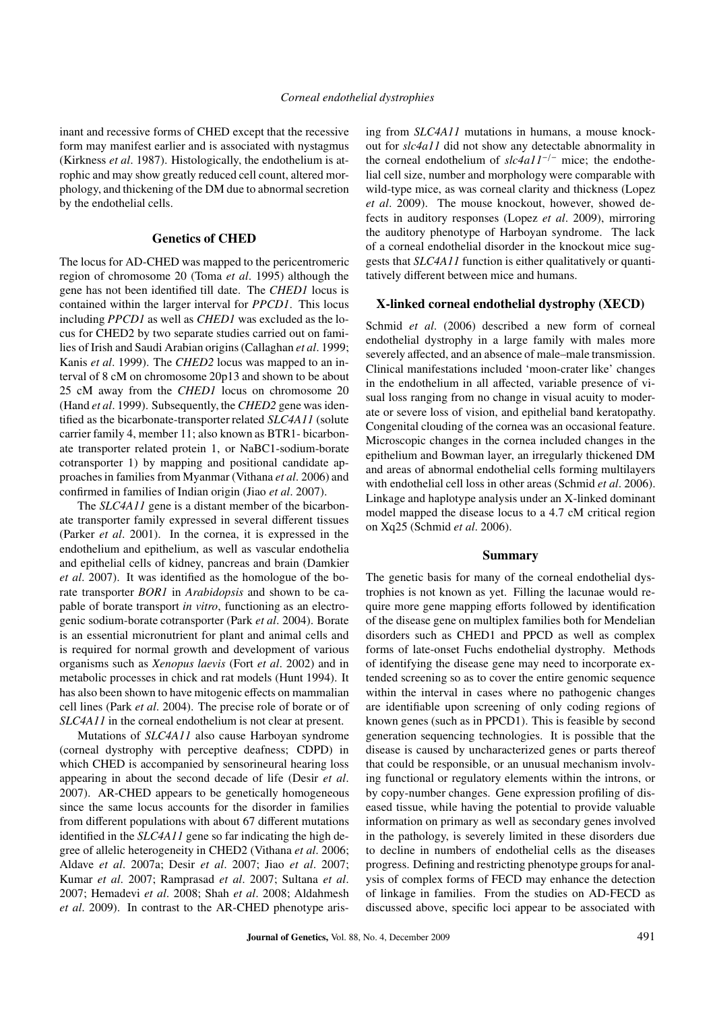inant and recessive forms of CHED except that the recessive form may manifest earlier and is associated with nystagmus (Kirkness *et al*. 1987). Histologically, the endothelium is atrophic and may show greatly reduced cell count, altered morphology, and thickening of the DM due to abnormal secretion by the endothelial cells.

### Genetics of CHED

The locus for AD-CHED was mapped to the pericentromeric region of chromosome 20 (Toma *et al*. 1995) although the gene has not been identified till date. The *CHED1* locus is contained within the larger interval for *PPCD1*. This locus including *PPCD1* as well as *CHED1* was excluded as the locus for CHED2 by two separate studies carried out on families of Irish and Saudi Arabian origins (Callaghan *et al*. 1999; Kanis *et al*. 1999). The *CHED2* locus was mapped to an interval of 8 cM on chromosome 20p13 and shown to be about 25 cM away from the *CHED1* locus on chromosome 20 (Hand *et al*. 1999). Subsequently, the *CHED2* gene was identified as the bicarbonate-transporter related *SLC4A11* (solute carrier family 4, member 11; also known as BTR1- bicarbonate transporter related protein 1, or NaBC1-sodium-borate cotransporter 1) by mapping and positional candidate approaches in families from Myanmar (Vithana *et al*. 2006) and confirmed in families of Indian origin (Jiao *et al*. 2007).

The *SLC4A11* gene is a distant member of the bicarbonate transporter family expressed in several different tissues (Parker *et al*. 2001). In the cornea, it is expressed in the endothelium and epithelium, as well as vascular endothelia and epithelial cells of kidney, pancreas and brain (Damkier *et al*. 2007). It was identified as the homologue of the borate transporter *BOR1* in *Arabidopsis* and shown to be capable of borate transport *in vitro*, functioning as an electrogenic sodium-borate cotransporter (Park *et al*. 2004). Borate is an essential micronutrient for plant and animal cells and is required for normal growth and development of various organisms such as *Xenopus laevis* (Fort *et al*. 2002) and in metabolic processes in chick and rat models (Hunt 1994). It has also been shown to have mitogenic effects on mammalian cell lines (Park *et al*. 2004). The precise role of borate or of *SLC4A11* in the corneal endothelium is not clear at present.

Mutations of *SLC4A11* also cause Harboyan syndrome (corneal dystrophy with perceptive deafness; CDPD) in which CHED is accompanied by sensorineural hearing loss appearing in about the second decade of life (Desir *et al*. 2007). AR-CHED appears to be genetically homogeneous since the same locus accounts for the disorder in families from different populations with about 67 different mutations identified in the *SLC4A11* gene so far indicating the high degree of allelic heterogeneity in CHED2 (Vithana *et al*. 2006; Aldave *et al*. 2007a; Desir *et al*. 2007; Jiao *et al*. 2007; Kumar *et al*. 2007; Ramprasad *et al*. 2007; Sultana *et al*. 2007; Hemadevi *et al*. 2008; Shah *et al*. 2008; Aldahmesh *et al*. 2009). In contrast to the AR-CHED phenotype arising from *SLC4A11* mutations in humans, a mouse knockout for *slc4a11* did not show any detectable abnormality in the corneal endothelium of *slc4a11*−/<sup>−</sup> mice; the endothelial cell size, number and morphology were comparable with wild-type mice, as was corneal clarity and thickness (Lopez *et al*. 2009). The mouse knockout, however, showed defects in auditory responses (Lopez *et al*. 2009), mirroring the auditory phenotype of Harboyan syndrome. The lack of a corneal endothelial disorder in the knockout mice suggests that *SLC4A11* function is either qualitatively or quantitatively different between mice and humans.

### X-linked corneal endothelial dystrophy (XECD)

Schmid *et al*. (2006) described a new form of corneal endothelial dystrophy in a large family with males more severely affected, and an absence of male–male transmission. Clinical manifestations included 'moon-crater like' changes in the endothelium in all affected, variable presence of visual loss ranging from no change in visual acuity to moderate or severe loss of vision, and epithelial band keratopathy. Congenital clouding of the cornea was an occasional feature. Microscopic changes in the cornea included changes in the epithelium and Bowman layer, an irregularly thickened DM and areas of abnormal endothelial cells forming multilayers with endothelial cell loss in other areas (Schmid *et al*. 2006). Linkage and haplotype analysis under an X-linked dominant model mapped the disease locus to a 4.7 cM critical region on Xq25 (Schmid *et al*. 2006).

#### Summary

The genetic basis for many of the corneal endothelial dystrophies is not known as yet. Filling the lacunae would require more gene mapping efforts followed by identification of the disease gene on multiplex families both for Mendelian disorders such as CHED1 and PPCD as well as complex forms of late-onset Fuchs endothelial dystrophy. Methods of identifying the disease gene may need to incorporate extended screening so as to cover the entire genomic sequence within the interval in cases where no pathogenic changes are identifiable upon screening of only coding regions of known genes (such as in PPCD1). This is feasible by second generation sequencing technologies. It is possible that the disease is caused by uncharacterized genes or parts thereof that could be responsible, or an unusual mechanism involving functional or regulatory elements within the introns, or by copy-number changes. Gene expression profiling of diseased tissue, while having the potential to provide valuable information on primary as well as secondary genes involved in the pathology, is severely limited in these disorders due to decline in numbers of endothelial cells as the diseases progress. Defining and restricting phenotype groups for analysis of complex forms of FECD may enhance the detection of linkage in families. From the studies on AD-FECD as discussed above, specific loci appear to be associated with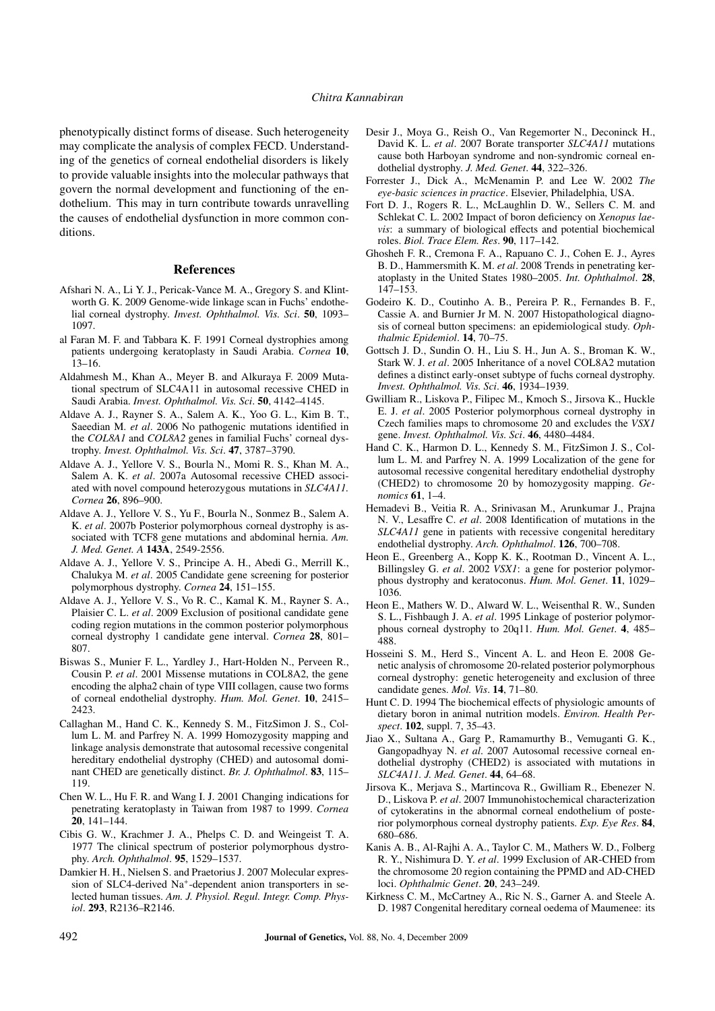phenotypically distinct forms of disease. Such heterogeneity may complicate the analysis of complex FECD. Understanding of the genetics of corneal endothelial disorders is likely to provide valuable insights into the molecular pathways that govern the normal development and functioning of the endothelium. This may in turn contribute towards unravelling the causes of endothelial dysfunction in more common conditions.

### References

- Afshari N. A., Li Y. J., Pericak-Vance M. A., Gregory S. and Klintworth G. K. 2009 Genome-wide linkage scan in Fuchs' endothelial corneal dystrophy. *Invest. Ophthalmol. Vis. Sci*. 50, 1093– 1097.
- al Faran M. F. and Tabbara K. F. 1991 Corneal dystrophies among patients undergoing keratoplasty in Saudi Arabia. *Cornea* 10, 13–16.
- Aldahmesh M., Khan A., Meyer B. and Alkuraya F. 2009 Mutational spectrum of SLC4A11 in autosomal recessive CHED in Saudi Arabia. *Invest. Ophthalmol. Vis. Sci*. 50, 4142–4145.
- Aldave A. J., Rayner S. A., Salem A. K., Yoo G. L., Kim B. T., Saeedian M. *et al*. 2006 No pathogenic mutations identified in the *COL8A1* and *COL8A2* genes in familial Fuchs' corneal dystrophy. *Invest. Ophthalmol. Vis. Sci*. 47, 3787–3790.
- Aldave A. J., Yellore V. S., Bourla N., Momi R. S., Khan M. A., Salem A. K. *et al*. 2007a Autosomal recessive CHED associated with novel compound heterozygous mutations in *SLC4A11. Cornea* 26, 896–900.
- Aldave A. J., Yellore V. S., Yu F., Bourla N., Sonmez B., Salem A. K. *et al*. 2007b Posterior polymorphous corneal dystrophy is associated with TCF8 gene mutations and abdominal hernia. *Am. J. Med. Genet. A* 143A, 2549-2556.
- Aldave A. J., Yellore V. S., Principe A. H., Abedi G., Merrill K., Chalukya M. *et al*. 2005 Candidate gene screening for posterior polymorphous dystrophy. *Cornea* 24, 151–155.
- Aldave A. J., Yellore V. S., Vo R. C., Kamal K. M., Rayner S. A., Plaisier C. L. *et al*. 2009 Exclusion of positional candidate gene coding region mutations in the common posterior polymorphous corneal dystrophy 1 candidate gene interval. *Cornea* 28, 801– 807.
- Biswas S., Munier F. L., Yardley J., Hart-Holden N., Perveen R., Cousin P. *et al*. 2001 Missense mutations in COL8A2, the gene encoding the alpha2 chain of type VIII collagen, cause two forms of corneal endothelial dystrophy. *Hum. Mol. Genet*. 10, 2415– 2423.
- Callaghan M., Hand C. K., Kennedy S. M., FitzSimon J. S., Collum L. M. and Parfrey N. A. 1999 Homozygosity mapping and linkage analysis demonstrate that autosomal recessive congenital hereditary endothelial dystrophy (CHED) and autosomal dominant CHED are genetically distinct. *Br. J. Ophthalmol*. 83, 115– 119.
- Chen W. L., Hu F. R. and Wang I. J. 2001 Changing indications for penetrating keratoplasty in Taiwan from 1987 to 1999. *Cornea* 20, 141–144.
- Cibis G. W., Krachmer J. A., Phelps C. D. and Weingeist T. A. 1977 The clinical spectrum of posterior polymorphous dystrophy. *Arch. Ophthalmol*. 95, 1529–1537.
- Damkier H. H., Nielsen S. and Praetorius J. 2007 Molecular expression of SLC4-derived Na<sup>+</sup>-dependent anion transporters in selected human tissues. *Am. J. Physiol. Regul. Integr. Comp. Physiol*. 293, R2136–R2146.
- Desir J., Moya G., Reish O., Van Regemorter N., Deconinck H., David K. L. *et al*. 2007 Borate transporter *SLC4A11* mutations cause both Harboyan syndrome and non-syndromic corneal endothelial dystrophy. *J. Med. Genet*. 44, 322–326.
- Forrester J., Dick A., McMenamin P. and Lee W. 2002 *The eye-basic sciences in practice*. Elsevier, Philadelphia, USA.
- Fort D. J., Rogers R. L., McLaughlin D. W., Sellers C. M. and Schlekat C. L. 2002 Impact of boron deficiency on *Xenopus laevis*: a summary of biological effects and potential biochemical roles. *Biol. Trace Elem. Res*. 90, 117–142.
- Ghosheh F. R., Cremona F. A., Rapuano C. J., Cohen E. J., Ayres B. D., Hammersmith K. M. *et al*. 2008 Trends in penetrating keratoplasty in the United States 1980–2005. *Int. Ophthalmol*. 28, 147–153.
- Godeiro K. D., Coutinho A. B., Pereira P. R., Fernandes B. F., Cassie A. and Burnier Jr M. N. 2007 Histopathological diagnosis of corneal button specimens: an epidemiological study. *Ophthalmic Epidemiol*. 14, 70–75.
- Gottsch J. D., Sundin O. H., Liu S. H., Jun A. S., Broman K. W., Stark W. J. *et al*. 2005 Inheritance of a novel COL8A2 mutation defines a distinct early-onset subtype of fuchs corneal dystrophy. *Invest. Ophthalmol. Vis. Sci*. 46, 1934–1939.
- Gwilliam R., Liskova P., Filipec M., Kmoch S., Jirsova K., Huckle E. J. *et al*. 2005 Posterior polymorphous corneal dystrophy in Czech families maps to chromosome 20 and excludes the *VSX1* gene. *Invest. Ophthalmol. Vis. Sci*. 46, 4480–4484.
- Hand C. K., Harmon D. L., Kennedy S. M., FitzSimon J. S., Collum L. M. and Parfrey N. A. 1999 Localization of the gene for autosomal recessive congenital hereditary endothelial dystrophy (CHED2) to chromosome 20 by homozygosity mapping. *Genomics* 61, 1–4.
- Hemadevi B., Veitia R. A., Srinivasan M., Arunkumar J., Prajna N. V., Lesaffre C. *et al*. 2008 Identification of mutations in the *SLC4A11* gene in patients with recessive congenital hereditary endothelial dystrophy. *Arch. Ophthalmol*. 126, 700–708.
- Heon E., Greenberg A., Kopp K. K., Rootman D., Vincent A. L., Billingsley G. *et al*. 2002 *VSX1*: a gene for posterior polymorphous dystrophy and keratoconus. *Hum. Mol. Genet*. 11, 1029– 1036.
- Heon E., Mathers W. D., Alward W. L., Weisenthal R. W., Sunden S. L., Fishbaugh J. A. *et al*. 1995 Linkage of posterior polymorphous corneal dystrophy to 20q11. *Hum. Mol. Genet*. 4, 485– 488.
- Hosseini S. M., Herd S., Vincent A. L. and Heon E. 2008 Genetic analysis of chromosome 20-related posterior polymorphous corneal dystrophy: genetic heterogeneity and exclusion of three candidate genes. *Mol. Vis*. 14, 71–80.
- Hunt C. D. 1994 The biochemical effects of physiologic amounts of dietary boron in animal nutrition models. *Environ. Health Perspect*. 102, suppl. 7, 35–43.
- Jiao X., Sultana A., Garg P., Ramamurthy B., Vemuganti G. K., Gangopadhyay N. *et al*. 2007 Autosomal recessive corneal endothelial dystrophy (CHED2) is associated with mutations in *SLC4A11. J. Med. Genet*. 44, 64–68.
- Jirsova K., Merjava S., Martincova R., Gwilliam R., Ebenezer N. D., Liskova P. *et al*. 2007 Immunohistochemical characterization of cytokeratins in the abnormal corneal endothelium of posterior polymorphous corneal dystrophy patients. *Exp. Eye Res*. 84, 680–686.
- Kanis A. B., Al-Rajhi A. A., Taylor C. M., Mathers W. D., Folberg R. Y., Nishimura D. Y. *et al*. 1999 Exclusion of AR-CHED from the chromosome 20 region containing the PPMD and AD-CHED loci. *Ophthalmic Genet*. 20, 243–249.
- Kirkness C. M., McCartney A., Ric N. S., Garner A. and Steele A. D. 1987 Congenital hereditary corneal oedema of Maumenee: its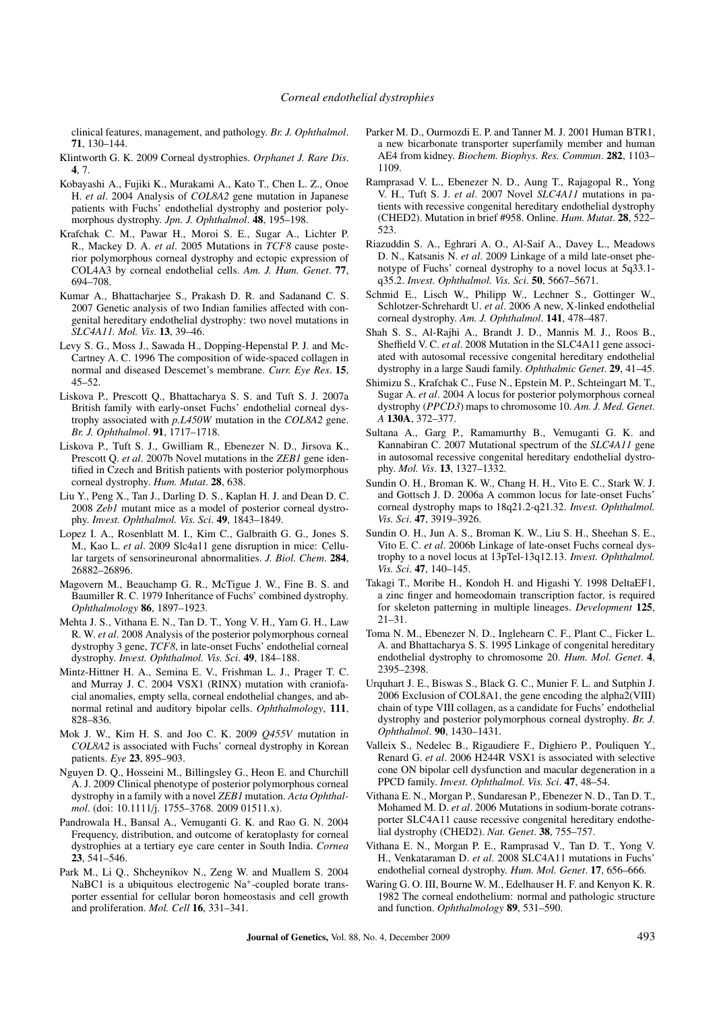clinical features, management, and pathology. *Br. J. Ophthalmol*. 71, 130–144.

- Klintworth G. K. 2009 Corneal dystrophies. *Orphanet J. Rare Dis*. 4, 7.
- Kobayashi A., Fujiki K., Murakami A., Kato T., Chen L. Z., Onoe H. *et al*. 2004 Analysis of *COL8A2* gene mutation in Japanese patients with Fuchs' endothelial dystrophy and posterior polymorphous dystrophy. *Jpn. J. Ophthalmol*. 48, 195–198.
- Krafchak C. M., Pawar H., Moroi S. E., Sugar A., Lichter P. R., Mackey D. A. *et al*. 2005 Mutations in *TCF8* cause posterior polymorphous corneal dystrophy and ectopic expression of COL4A3 by corneal endothelial cells. *Am. J. Hum. Genet*. 77, 694–708.
- Kumar A., Bhattacharjee S., Prakash D. R. and Sadanand C. S. 2007 Genetic analysis of two Indian families affected with congenital hereditary endothelial dystrophy: two novel mutations in *SLC4A11. Mol. Vis*. 13, 39–46.
- Levy S. G., Moss J., Sawada H., Dopping-Hepenstal P. J. and Mc-Cartney A. C. 1996 The composition of wide-spaced collagen in normal and diseased Descemet's membrane. *Curr. Eye Res*. 15, 45–52.
- Liskova P., Prescott Q., Bhattacharya S. S. and Tuft S. J. 2007a British family with early-onset Fuchs' endothelial corneal dystrophy associated with *p.L450W* mutation in the *COL8A2* gene. *Br. J. Ophthalmol*. 91, 1717–1718.
- Liskova P., Tuft S. J., Gwilliam R., Ebenezer N. D., Jirsova K., Prescott Q. *et al*. 2007b Novel mutations in the *ZEB1* gene identified in Czech and British patients with posterior polymorphous corneal dystrophy. *Hum. Mutat*. 28, 638.
- Liu Y., Peng X., Tan J., Darling D. S., Kaplan H. J. and Dean D. C. 2008 *Zeb1* mutant mice as a model of posterior corneal dystrophy. *Invest. Ophthalmol. Vis. Sci*. 49, 1843–1849.
- Lopez I. A., Rosenblatt M. I., Kim C., Galbraith G. G., Jones S. M., Kao L. *et al*. 2009 Slc4a11 gene disruption in mice: Cellular targets of sensorineuronal abnormalities. *J. Biol. Chem*. 284, 26882–26896.
- Magovern M., Beauchamp G. R., McTigue J. W., Fine B. S. and Baumiller R. C. 1979 Inheritance of Fuchs' combined dystrophy. *Ophthalmology* 86, 1897–1923.
- Mehta J. S., Vithana E. N., Tan D. T., Yong V. H., Yam G. H., Law R. W. *et al*. 2008 Analysis of the posterior polymorphous corneal dystrophy 3 gene, *TCF8*, in late-onset Fuchs' endothelial corneal dystrophy. *Invest. Ophthalmol. Vis. Sci*. 49, 184–188.
- Mintz-Hittner H. A., Semina E. V., Frishman L. J., Prager T. C. and Murray J. C. 2004 VSX1 (RINX) mutation with craniofacial anomalies, empty sella, corneal endothelial changes, and abnormal retinal and auditory bipolar cells. *Ophthalmology*, 111, 828–836.
- Mok J. W., Kim H. S. and Joo C. K. 2009 *Q455V* mutation in *COL8A2* is associated with Fuchs' corneal dystrophy in Korean patients. *Eye* 23, 895–903.
- Nguyen D. Q., Hosseini M., Billingsley G., Heon E. and Churchill A. J. 2009 Clinical phenotype of posterior polymorphous corneal dystrophy in a family with a novel *ZEB1* mutation. *Acta Ophthalmol*. (doi: 10.1111/j. 1755–3768. 2009 01511.x).
- Pandrowala H., Bansal A., Vemuganti G. K. and Rao G. N. 2004 Frequency, distribution, and outcome of keratoplasty for corneal dystrophies at a tertiary eye care center in South India. *Cornea* 23, 541–546.
- Park M., Li Q., Shcheynikov N., Zeng W. and Muallem S. 2004 NaBC1 is a ubiquitous electrogenic Na<sup>+</sup>-coupled borate transporter essential for cellular boron homeostasis and cell growth and proliferation. *Mol. Cell* 16, 331–341.
- Parker M. D., Ourmozdi E. P. and Tanner M. J. 2001 Human BTR1, a new bicarbonate transporter superfamily member and human AE4 from kidney. *Biochem. Biophys. Res. Commun*. 282, 1103– 1109.
- Ramprasad V. L., Ebenezer N. D., Aung T., Rajagopal R., Yong V. H., Tuft S. J. *et al*. 2007 Novel *SLC4A11* mutations in patients with recessive congenital hereditary endothelial dystrophy (CHED2). Mutation in brief #958. Online. *Hum. Mutat*. 28, 522– 523.
- Riazuddin S. A., Eghrari A. O., Al-Saif A., Davey L., Meadows D. N., Katsanis N. *et al*. 2009 Linkage of a mild late-onset phenotype of Fuchs' corneal dystrophy to a novel locus at 5q33.1 q35.2. *Invest. Ophthalmol. Vis. Sci*. 50, 5667–5671.
- Schmid E., Lisch W., Philipp W., Lechner S., Gottinger W., Schlotzer-Schrehardt U. *et al*. 2006 A new, X-linked endothelial corneal dystrophy. *Am. J. Ophthalmol*. 141, 478–487.
- Shah S. S., Al-Rajhi A., Brandt J. D., Mannis M. J., Roos B., Sheffield V. C. *et al*. 2008 Mutation in the SLC4A11 gene associated with autosomal recessive congenital hereditary endothelial dystrophy in a large Saudi family. *Ophthalmic Genet*. 29, 41–45.
- Shimizu S., Krafchak C., Fuse N., Epstein M. P., Schteingart M. T., Sugar A. *et al*. 2004 A locus for posterior polymorphous corneal dystrophy (*PPCD3*) maps to chromosome 10. *Am. J. Med. Genet. A* 130A, 372–377.
- Sultana A., Garg P., Ramamurthy B., Vemuganti G. K. and Kannabiran C. 2007 Mutational spectrum of the *SLC4A11* gene in autosomal recessive congenital hereditary endothelial dystrophy. *Mol. Vis*. 13, 1327–1332.
- Sundin O. H., Broman K. W., Chang H. H., Vito E. C., Stark W. J. and Gottsch J. D. 2006a A common locus for late-onset Fuchs' corneal dystrophy maps to 18q21.2-q21.32. *Invest. Ophthalmol. Vis. Sci*. 47, 3919–3926.
- Sundin O. H., Jun A. S., Broman K. W., Liu S. H., Sheehan S. E., Vito E. C. *et al*. 2006b Linkage of late-onset Fuchs corneal dystrophy to a novel locus at 13pTel-13q12.13. *Invest. Ophthalmol. Vis. Sci*. 47, 140–145.
- Takagi T., Moribe H., Kondoh H. and Higashi Y. 1998 DeltaEF1, a zinc finger and homeodomain transcription factor, is required for skeleton patterning in multiple lineages. *Development* 125, 21–31.
- Toma N. M., Ebenezer N. D., Inglehearn C. F., Plant C., Ficker L. A. and Bhattacharya S. S. 1995 Linkage of congenital hereditary endothelial dystrophy to chromosome 20. *Hum. Mol. Genet*. 4, 2395–2398.
- Urquhart J. E., Biswas S., Black G. C., Munier F. L. and Sutphin J. 2006 Exclusion of COL8A1, the gene encoding the alpha2(VIII) chain of type VIII collagen, as a candidate for Fuchs' endothelial dystrophy and posterior polymorphous corneal dystrophy. *Br. J. Ophthalmol*. 90, 1430–1431.
- Valleix S., Nedelec B., Rigaudiere F., Dighiero P., Pouliquen Y., Renard G. *et al*. 2006 H244R VSX1 is associated with selective cone ON bipolar cell dysfunction and macular degeneration in a PPCD family. *Invest. Ophthalmol. Vis. Sci*. 47, 48–54.
- Vithana E. N., Morgan P., Sundaresan P., Ebenezer N. D., Tan D. T., Mohamed M. D. *et al*. 2006 Mutations in sodium-borate cotransporter SLC4A11 cause recessive congenital hereditary endothelial dystrophy (CHED2). *Nat. Genet*. 38, 755–757.
- Vithana E. N., Morgan P. E., Ramprasad V., Tan D. T., Yong V. H., Venkataraman D. *et al*. 2008 SLC4A11 mutations in Fuchs' endothelial corneal dystrophy. *Hum. Mol. Genet*. 17, 656–666.
- Waring G. O. III, Bourne W. M., Edelhauser H. F. and Kenyon K. R. 1982 The corneal endothelium: normal and pathologic structure and function. *Ophthalmology* 89, 531–590.